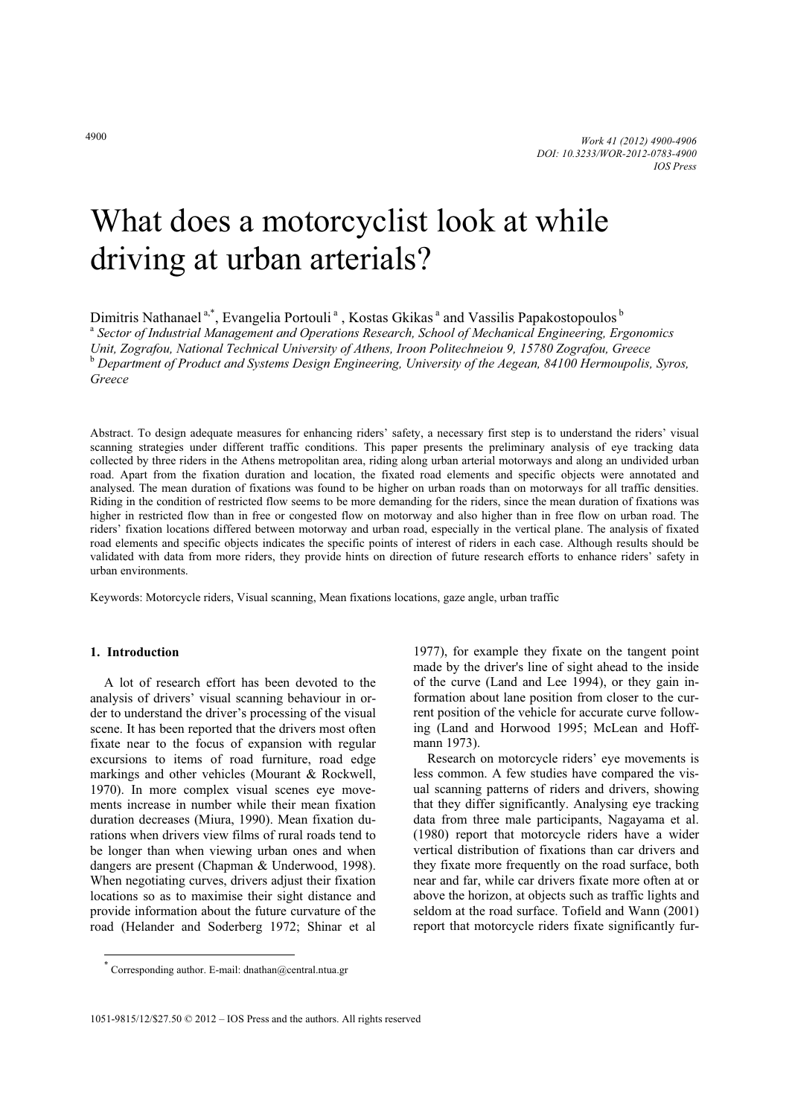# What does a motorcyclist look at while driving at urban arterials?

Dimitris Nathanael<sup>a,\*</sup>, Evangelia Portouli<sup>a</sup>, Kostas Gkikas<sup>a</sup> and Vassilis Papakostopoulos<sup>b</sup>

 *Sector of Industrial Management and Operations Research, School of Mechanical Engineering, Ergonomics Unit, Zografou, National Technical University of Athens, Iroon Politechneiou 9, 15780 Zografou, Greece*  b  *Department of Product and Systems Design Engineering, University of the Aegean, 84100 Hermoupolis, Syros, Greece* 

Abstract. To design adequate measures for enhancing riders' safety, a necessary first step is to understand the riders' visual scanning strategies under different traffic conditions. This paper presents the preliminary analysis of eye tracking data collected by three riders in the Athens metropolitan area, riding along urban arterial motorways and along an undivided urban road. Apart from the fixation duration and location, the fixated road elements and specific objects were annotated and analysed. The mean duration of fixations was found to be higher on urban roads than on motorways for all traffic densities. Riding in the condition of restricted flow seems to be more demanding for the riders, since the mean duration of fixations was higher in restricted flow than in free or congested flow on motorway and also higher than in free flow on urban road. The riders' fixation locations differed between motorway and urban road, especially in the vertical plane. The analysis of fixated road elements and specific objects indicates the specific points of interest of riders in each case. Although results should be validated with data from more riders, they provide hints on direction of future research efforts to enhance riders' safety in urban environments.

Keywords: Motorcycle riders, Visual scanning, Mean fixations locations, gaze angle, urban traffic

## **1. Introduction**

j

A lot of research effort has been devoted to the analysis of drivers' visual scanning behaviour in order to understand the driver's processing of the visual scene. It has been reported that the drivers most often fixate near to the focus of expansion with regular excursions to items of road furniture, road edge markings and other vehicles (Mourant & Rockwell, 1970). In more complex visual scenes eye movements increase in number while their mean fixation duration decreases (Miura, 1990). Mean fixation durations when drivers view films of rural roads tend to be longer than when viewing urban ones and when dangers are present (Chapman & Underwood, 1998). When negotiating curves, drivers adjust their fixation locations so as to maximise their sight distance and provide information about the future curvature of the road (Helander and Soderberg 1972; Shinar et al

1977), for example they fixate on the tangent point made by the driver's line of sight ahead to the inside of the curve (Land and Lee 1994), or they gain information about lane position from closer to the current position of the vehicle for accurate curve following (Land and Horwood 1995; McLean and Hoffmann 1973).

Research on motorcycle riders' eye movements is less common. A few studies have compared the visual scanning patterns of riders and drivers, showing that they differ significantly. Analysing eye tracking data from three male participants, Nagayama et al. (1980) report that motorcycle riders have a wider vertical distribution of fixations than car drivers and they fixate more frequently on the road surface, both near and far, while car drivers fixate more often at or above the horizon, at objects such as traffic lights and seldom at the road surface. Tofield and Wann (2001) report that motorcycle riders fixate significantly fur-

<sup>\*</sup> Corresponding author. E-mail: dnathan@central.ntua.gr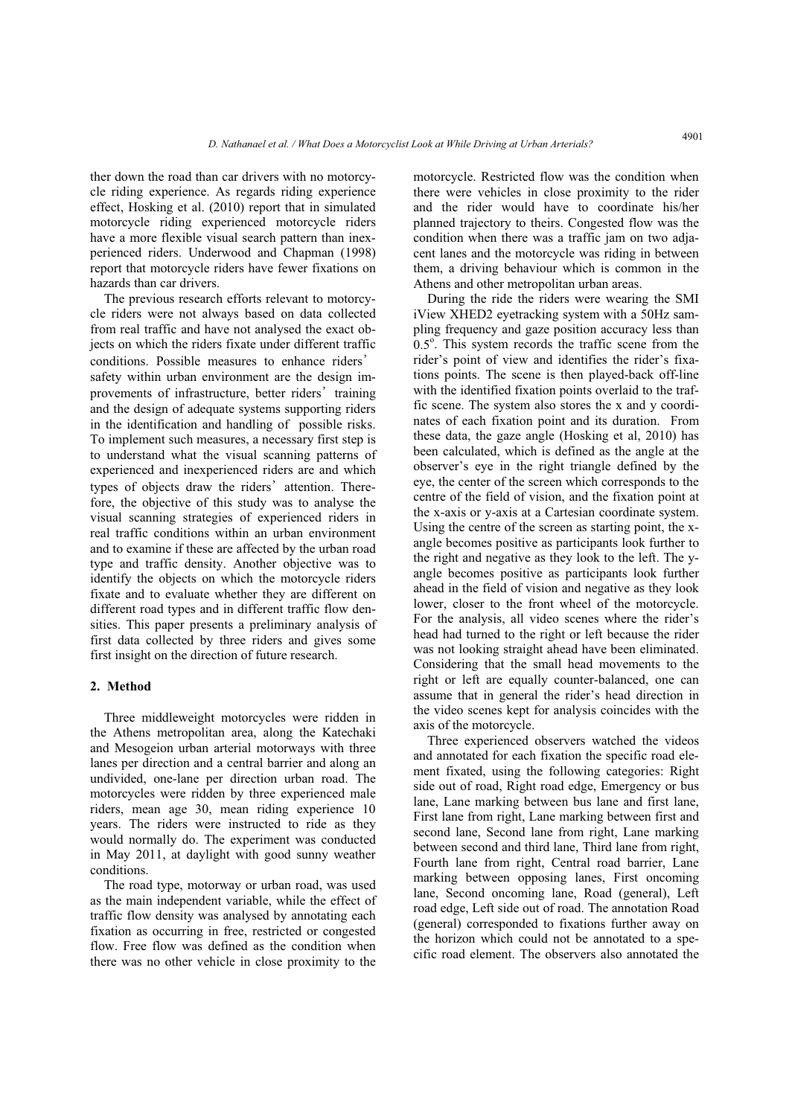ther down the road than car drivers with no motorcycle riding experience. As regards riding experience effect, Hosking et al. (2010) report that in simulated motorcycle riding experienced motorcycle riders have a more flexible visual search pattern than inexperienced riders. Underwood and Chapman (1998) report that motorcycle riders have fewer fixations on hazards than car drivers.

The previous research efforts relevant to motorcycle riders were not always based on data collected from real traffic and have not analysed the exact objects on which the riders fixate under different traffic rrom real traffic and have not analysed the exact objects on which the riders fixate under different traffic<br>conditions. Possible measures to enhance riders' conditions. Possible measures to enhance riders' safety within urban environment are the design imconditions. Possible measures to emiance is<br>safety within urban environment are the des<br>provements of infrastructure, better riders' provements of infrastructure, better riders' training and the design of adequate systems supporting riders in the identification and handling of possible risks. To implement such measures, a necessary first step is to understand what the visual scanning patterns of experienced and inexperienced riders are and which to understand what the visual scar<br>experienced and inexperienced riders<br>types of objects draw the riders' types of objects draw the riders' attention. Therefore, the objective of this study was to analyse the visual scanning strategies of experienced riders in real traffic conditions within an urban environment and to examine if these are affected by the urban road type and traffic density. Another objective was to identify the objects on which the motorcycle riders fixate and to evaluate whether they are different on different road types and in different traffic flow densities. This paper presents a preliminary analysis of first data collected by three riders and gives some first insight on the direction of future research.

#### **2. Method**

Three middleweight motorcycles were ridden in the Athens metropolitan area, along the Katechaki and Mesogeion urban arterial motorways with three lanes per direction and a central barrier and along an undivided, one-lane per direction urban road. The motorcycles were ridden by three experienced male riders, mean age 30, mean riding experience 10 years. The riders were instructed to ride as they would normally do. The experiment was conducted in May 2011, at daylight with good sunny weather conditions.

The road type, motorway or urban road, was used as the main independent variable, while the effect of traffic flow density was analysed by annotating each fixation as occurring in free, restricted or congested flow. Free flow was defined as the condition when there was no other vehicle in close proximity to the

motorcycle. Restricted flow was the condition when there were vehicles in close proximity to the rider and the rider would have to coordinate his/her planned trajectory to theirs. Congested flow was the condition when there was a traffic jam on two adjacent lanes and the motorcycle was riding in between them, a driving behaviour which is common in the Athens and other metropolitan urban areas.

During the ride the riders were wearing the SMI iView XHED2 eyetracking system with a 50Hz sampling frequency and gaze position accuracy less than  $0.5^\circ$ . This system records the traffic scene from the rider's point of view and identifies the rider's fixations points. The scene is then played-back off-line with the identified fixation points overlaid to the traffic scene. The system also stores the x and y coordinates of each fixation point and its duration. From these data, the gaze angle (Hosking et al, 2010) has been calculated, which is defined as the angle at the observer's eye in the right triangle defined by the eye, the center of the screen which corresponds to the centre of the field of vision, and the fixation point at the x-axis or y-axis at a Cartesian coordinate system. Using the centre of the screen as starting point, the xangle becomes positive as participants look further to the right and negative as they look to the left. The yangle becomes positive as participants look further ahead in the field of vision and negative as they look lower, closer to the front wheel of the motorcycle. For the analysis, all video scenes where the rider's head had turned to the right or left because the rider was not looking straight ahead have been eliminated. Considering that the small head movements to the right or left are equally counter-balanced, one can assume that in general the rider's head direction in the video scenes kept for analysis coincides with the axis of the motorcycle.

Three experienced observers watched the videos and annotated for each fixation the specific road element fixated, using the following categories: Right side out of road, Right road edge, Emergency or bus lane, Lane marking between bus lane and first lane, First lane from right, Lane marking between first and second lane, Second lane from right, Lane marking between second and third lane, Third lane from right, Fourth lane from right, Central road barrier, Lane marking between opposing lanes, First oncoming lane, Second oncoming lane, Road (general), Left road edge, Left side out of road. The annotation Road (general) corresponded to fixations further away on the horizon which could not be annotated to a specific road element. The observers also annotated the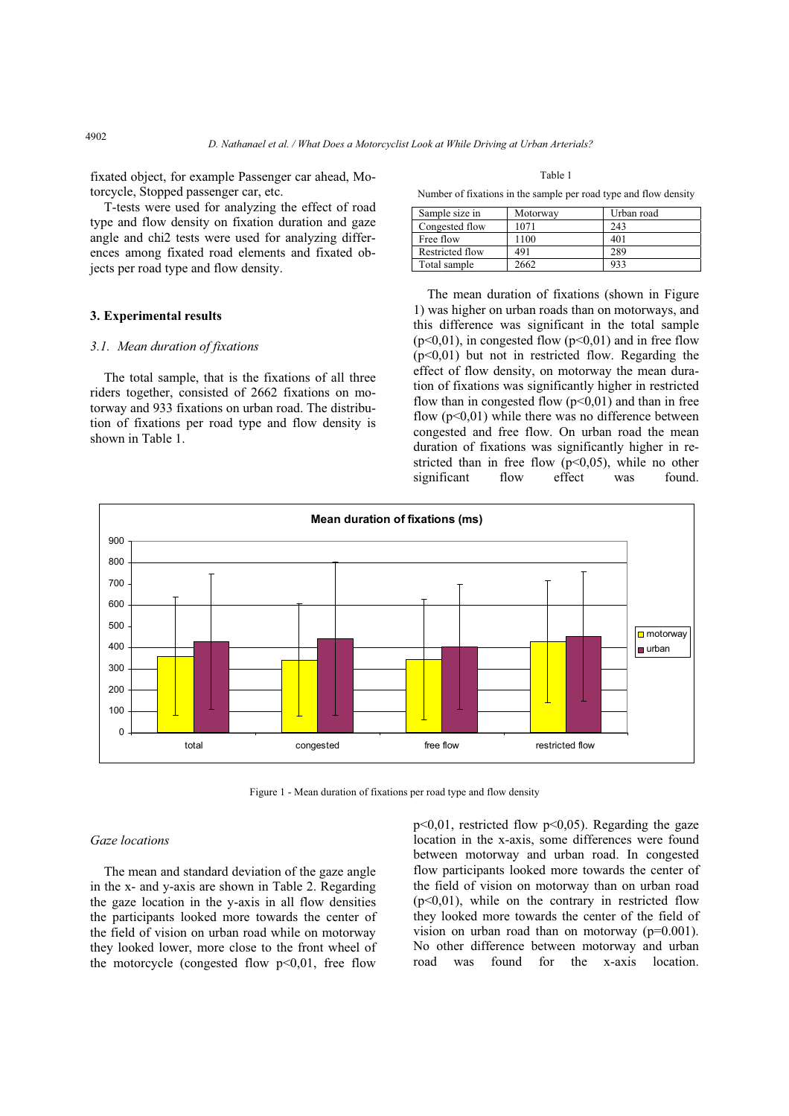fixated object, for example Passenger car ahead, Motorcycle, Stopped passenger car, etc.

T-tests were used for analyzing the effect of road type and flow density on fixation duration and gaze angle and chi2 tests were used for analyzing differences among fixated road elements and fixated objects per road type and flow density.

## **3. Experimental results**

## *3.1. Mean duration of fixations*

The total sample, that is the fixations of all three riders together, consisted of 2662 fixations on motorway and 933 fixations on urban road. The distribution of fixations per road type and flow density is shown in Table 1.

Table 1

Number of fixations in the sample per road type and flow density

| Sample size in  | Motorway | Urban road |
|-----------------|----------|------------|
| Congested flow  | 1071     | 243        |
| Free flow       | 1100     | 401        |
| Restricted flow | 491      | 289        |
| Total sample    | 2662     | 933        |

The mean duration of fixations (shown in Figure 1) was higher on urban roads than on motorways, and this difference was significant in the total sample  $(p<0,01)$ , in congested flow  $(p<0,01)$  and in free flow  $(p<0,01)$  but not in restricted flow. Regarding the effect of flow density, on motorway the mean duration of fixations was significantly higher in restricted flow than in congested flow  $(p<0.01)$  and than in free flow  $(p<0.01)$  while there was no difference between congested and free flow. On urban road the mean duration of fixations was significantly higher in restricted than in free flow  $(p<0.05)$ , while no other significant flow effect was found.



Figure 1 - Mean duration of fixations per road type and flow density

### *Gaze locations*

The mean and standard deviation of the gaze angle in the x- and y-axis are shown in Table 2. Regarding the gaze location in the y-axis in all flow densities the participants looked more towards the center of the field of vision on urban road while on motorway they looked lower, more close to the front wheel of the motorcycle (congested flow  $p<0.01$ , free flow

 $p<0,01$ , restricted flow  $p<0,05$ ). Regarding the gaze location in the x-axis, some differences were found between motorway and urban road. In congested flow participants looked more towards the center of the field of vision on motorway than on urban road  $(p<0,01)$ , while on the contrary in restricted flow they looked more towards the center of the field of vision on urban road than on motorway (p=0.001). No other difference between motorway and urban road was found for the x-axis location.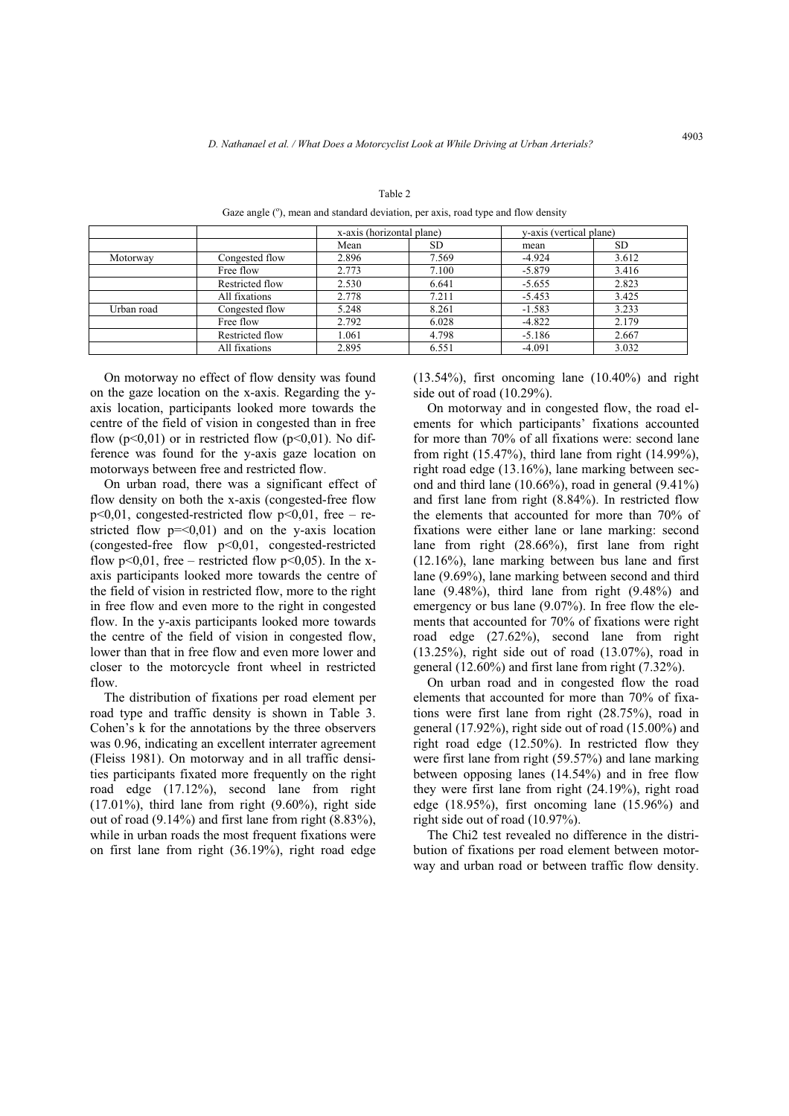|            |                 | x-axis (horizontal plane) |       | y-axis (vertical plane) |           |
|------------|-----------------|---------------------------|-------|-------------------------|-----------|
|            |                 | Mean                      | SD.   | mean                    | <b>SD</b> |
| Motorway   | Congested flow  | 2.896                     | 7.569 | $-4.924$                | 3.612     |
|            | Free flow       | 2.773                     | 7.100 | $-5.879$                | 3.416     |
|            | Restricted flow | 2.530                     | 6.641 | $-5.655$                | 2.823     |
|            | All fixations   | 2.778                     | 7.211 | $-5.453$                | 3.425     |
| Urban road | Congested flow  | 5.248                     | 8.261 | $-1.583$                | 3.233     |
|            | Free flow       | 2.792                     | 6.028 | $-4.822$                | 2.179     |
|            | Restricted flow | 1.061                     | 4.798 | $-5.186$                | 2.667     |
|            | All fixations   | 2.895                     | 6.551 | $-4.091$                | 3.032     |

Table 2

Gaze angle (°), mean and standard deviation, per axis, road type and flow density

On motorway no effect of flow density was found on the gaze location on the x-axis. Regarding the yaxis location, participants looked more towards the centre of the field of vision in congested than in free flow ( $p<0.01$ ) or in restricted flow ( $p<0.01$ ). No difference was found for the y-axis gaze location on motorways between free and restricted flow.

On urban road, there was a significant effect of flow density on both the x-axis (congested-free flow  $p<0,01$ , congested-restricted flow  $p<0,01$ , free – restricted flow  $p = 0.01$  and on the y-axis location (congested-free flow p<0,01, congested-restricted flow  $p<0.01$ , free – restricted flow  $p<0.05$ ). In the xaxis participants looked more towards the centre of the field of vision in restricted flow, more to the right in free flow and even more to the right in congested flow. In the y-axis participants looked more towards the centre of the field of vision in congested flow, lower than that in free flow and even more lower and closer to the motorcycle front wheel in restricted flow.

The distribution of fixations per road element per road type and traffic density is shown in Table 3. Cohen's k for the annotations by the three observers was 0.96, indicating an excellent interrater agreement (Fleiss 1981). On motorway and in all traffic densities participants fixated more frequently on the right road edge (17.12%), second lane from right  $(17.01\%)$ , third lane from right  $(9.60\%)$ , right side out of road (9.14%) and first lane from right (8.83%), while in urban roads the most frequent fixations were on first lane from right (36.19%), right road edge

(13.54%), first oncoming lane (10.40%) and right side out of road (10.29%).

On motorway and in congested flow, the road elements for which participants' fixations accounted for more than 70% of all fixations were: second lane from right (15.47%), third lane from right (14.99%), right road edge (13.16%), lane marking between second and third lane (10.66%), road in general (9.41%) and first lane from right (8.84%). In restricted flow the elements that accounted for more than 70% of fixations were either lane or lane marking: second lane from right (28.66%), first lane from right (12.16%), lane marking between bus lane and first lane (9.69%), lane marking between second and third lane (9.48%), third lane from right (9.48%) and emergency or bus lane (9.07%). In free flow the elements that accounted for 70% of fixations were right road edge (27.62%), second lane from right (13.25%), right side out of road (13.07%), road in general (12.60%) and first lane from right (7.32%).

On urban road and in congested flow the road elements that accounted for more than 70% of fixations were first lane from right (28.75%), road in general (17.92%), right side out of road (15.00%) and right road edge (12.50%). In restricted flow they were first lane from right (59.57%) and lane marking between opposing lanes (14.54%) and in free flow they were first lane from right (24.19%), right road edge (18.95%), first oncoming lane (15.96%) and right side out of road (10.97%).

The Chi2 test revealed no difference in the distribution of fixations per road element between motorway and urban road or between traffic flow density.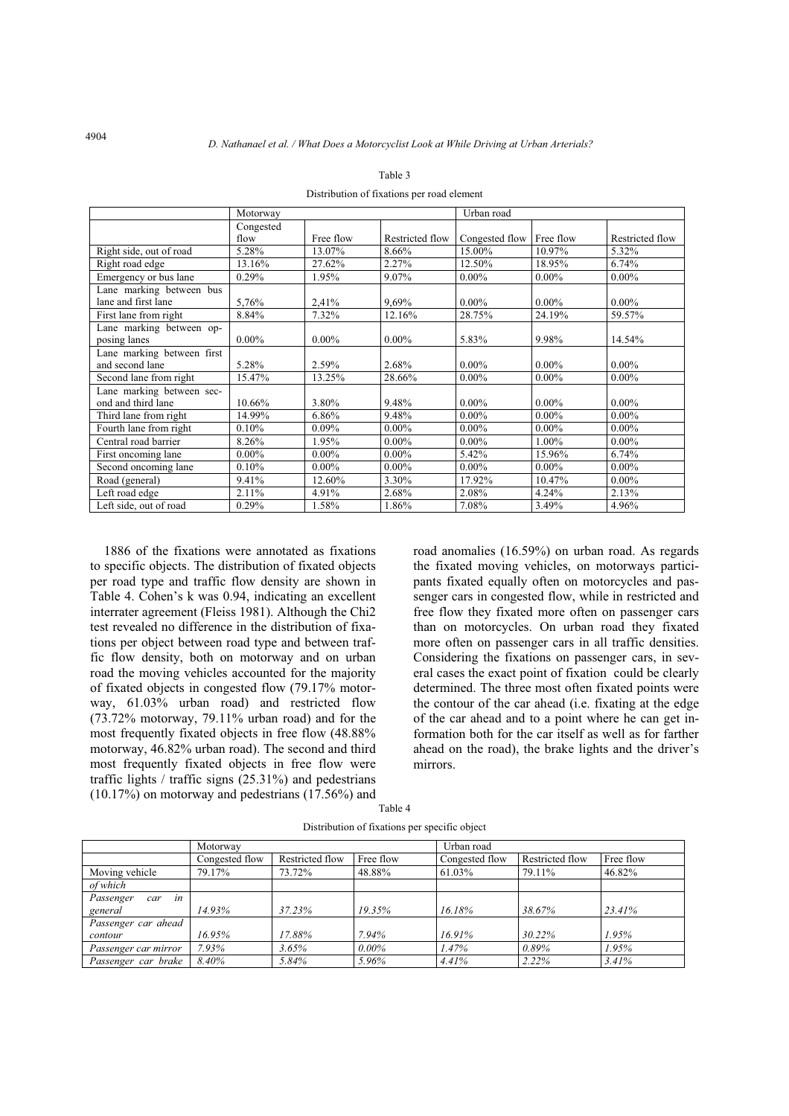|                                                 | Motorway  |           |                 | Urban road     |           |                 |
|-------------------------------------------------|-----------|-----------|-----------------|----------------|-----------|-----------------|
|                                                 | Congested |           |                 |                |           |                 |
|                                                 | flow      | Free flow | Restricted flow | Congested flow | Free flow | Restricted flow |
| Right side, out of road                         | 5.28%     | 13.07%    | 8.66%           | 15.00%         | 10.97%    | 5.32%           |
| Right road edge                                 | 13.16%    | 27.62%    | 2.27%           | 12.50%         | 18.95%    | 6.74%           |
| Emergency or bus lane                           | $0.29\%$  | 1.95%     | $9.07\%$        | $0.00\%$       | $0.00\%$  | $0.00\%$        |
| Lane marking between bus<br>lane and first lane | 5,76%     | 2,41%     | 9,69%           | $0.00\%$       | $0.00\%$  | $0.00\%$        |
| First lane from right                           | 8.84%     | 7.32%     | 12.16%          | 28.75%         | 24.19%    | 59.57%          |
| Lane marking between op-<br>posing lanes        | $0.00\%$  | $0.00\%$  | $0.00\%$        | 5.83%          | 9.98%     | 14.54%          |
| Lane marking between first                      |           |           |                 |                |           |                 |
| and second lane                                 | 5.28%     | 2.59%     | 2.68%           | $0.00\%$       | $0.00\%$  | $0.00\%$        |
| Second lane from right                          | 15.47%    | 13.25%    | 28.66%          | $0.00\%$       | $0.00\%$  | $0.00\%$        |
| Lane marking between sec-<br>ond and third lane | 10.66%    | 3.80%     | 9.48%           | $0.00\%$       | $0.00\%$  | $0.00\%$        |
| Third lane from right                           | 14.99%    | 6.86%     | 9.48%           | $0.00\%$       | $0.00\%$  | $0.00\%$        |
| Fourth lane from right                          | 0.10%     | $0.09\%$  | $0.00\%$        | $0.00\%$       | $0.00\%$  | $0.00\%$        |
| Central road barrier                            | 8.26%     | 1.95%     | $0.00\%$        | $0.00\%$       | $1.00\%$  | $0.00\%$        |
| First oncoming lane                             | $0.00\%$  | $0.00\%$  | $0.00\%$        | 5.42%          | 15.96%    | 6.74%           |
| Second oncoming lane                            | 0.10%     | $0.00\%$  | $0.00\%$        | $0.00\%$       | $0.00\%$  | $0.00\%$        |
| Road (general)                                  | 9.41%     | 12.60%    | 3.30%           | 17.92%         | 10.47%    | $0.00\%$        |
| Left road edge                                  | $2.11\%$  | 4.91%     | 2.68%           | 2.08%          | 4.24%     | 2.13%           |
| Left side, out of road                          | 0.29%     | 1.58%     | 1.86%           | 7.08%          | 3.49%     | 4.96%           |

Table 3

Distribution of fixations per road element

1886 of the fixations were annotated as fixations to specific objects. The distribution of fixated objects per road type and traffic flow density are shown in Table 4. Cohen's k was 0.94, indicating an excellent interrater agreement (Fleiss 1981). Although the Chi2 test revealed no difference in the distribution of fixations per object between road type and between traffic flow density, both on motorway and on urban road the moving vehicles accounted for the majority of fixated objects in congested flow (79.17% motorway, 61.03% urban road) and restricted flow (73.72% motorway, 79.11% urban road) and for the most frequently fixated objects in free flow (48.88% motorway, 46.82% urban road). The second and third most frequently fixated objects in free flow were traffic lights / traffic signs  $(25.31\%)$  and pedestrians  $(10.17\%)$  on motorway and pedestrians  $(17.56\%)$  and road anomalies (16.59%) on urban road. As regards the fixated moving vehicles, on motorways participants fixated equally often on motorcycles and passenger cars in congested flow, while in restricted and free flow they fixated more often on passenger cars than on motorcycles. On urban road they fixated more often on passenger cars in all traffic densities. Considering the fixations on passenger cars, in several cases the exact point of fixation could be clearly determined. The three most often fixated points were the contour of the car ahead (i.e. fixating at the edge of the car ahead and to a point where he can get information both for the car itself as well as for farther ahead on the road), the brake lights and the driver's mirrors.

|                        | Motorway       |                 |           | Urban road     |                 |           |  |
|------------------------|----------------|-----------------|-----------|----------------|-----------------|-----------|--|
|                        | Congested flow | Restricted flow | Free flow | Congested flow | Restricted flow | Free flow |  |
| Moving vehicle         | 79.17%         | 73.72%          | 48.88%    | 61.03%         | 79.11%          | 46.82%    |  |
| of which               |                |                 |           |                |                 |           |  |
| in<br>Passenger<br>car |                |                 |           |                |                 |           |  |
| general                | 14.93%         | 37.23%          | 19.35%    | 16.18%         | 38.67%          | 23.41%    |  |
| Passenger car ahead    |                |                 |           |                |                 |           |  |
| contour                | 16.95%         | 17.88%          | $7.94\%$  | 16.91%         | 30.22%          | 1.95%     |  |
| Passenger car mirror   | 7.93%          | 3.65%           | $0.00\%$  | 1.47%          | 0.89%           | 1.95%     |  |
| Passenger car brake    | 8.40%          | 5.84%           | 5.96%     | 4.41%          | 2.22%           | 3.41%     |  |

Table 4 Distribution of fixations per specific object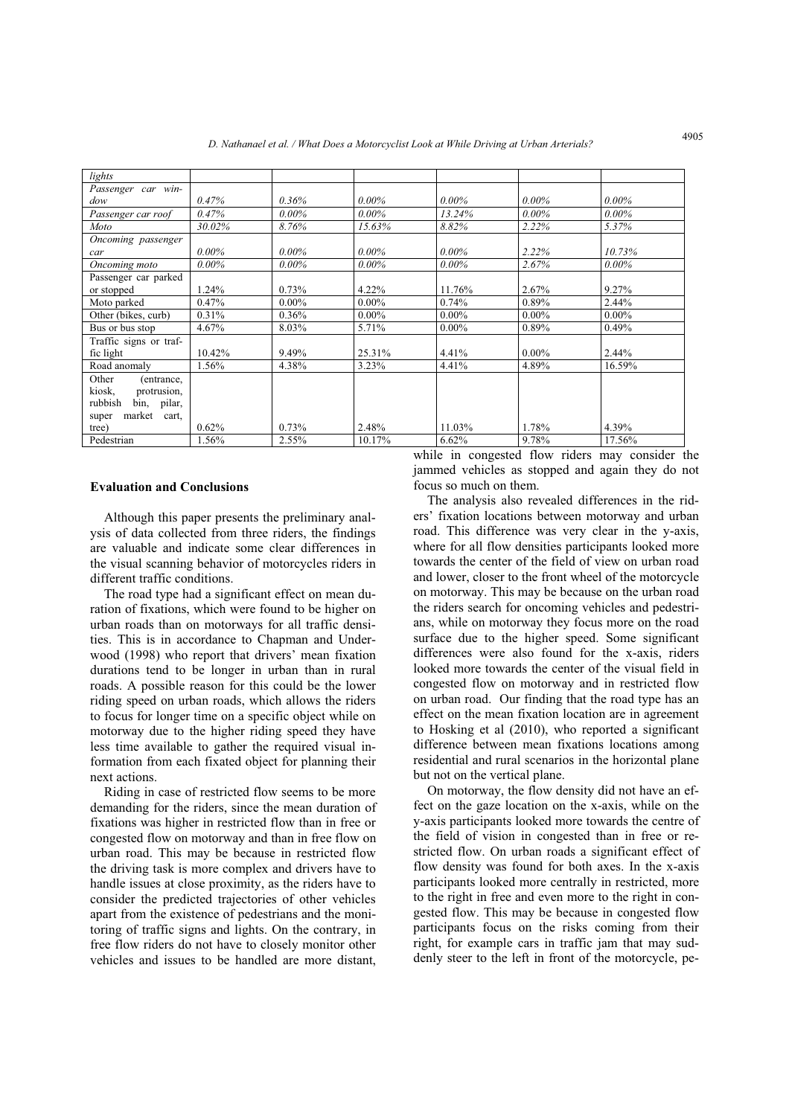| lights                 |          |          |          |          |          |          |
|------------------------|----------|----------|----------|----------|----------|----------|
| Passenger car win-     |          |          |          |          |          |          |
| dow                    | 0.47%    | $0.36\%$ | $0.00\%$ | $0.00\%$ | $0.00\%$ | $0.00\%$ |
| Passenger car roof     | 0.47%    | $0.00\%$ | $0.00\%$ | 13.24%   | $0.00\%$ | $0.00\%$ |
| Moto                   | 30.02%   | 8.76%    | 15.63%   | 8.82%    | 2.22%    | 5.37%    |
| Oncoming passenger     |          |          |          |          |          |          |
| car                    | $0.00\%$ | $0.00\%$ | $0.00\%$ | $0.00\%$ | 2.22%    | 10.73%   |
| Oncoming moto          | $0.00\%$ | $0.00\%$ | $0.00\%$ | $0.00\%$ | 2.67%    | $0.00\%$ |
| Passenger car parked   |          |          |          |          |          |          |
| or stopped             | 1.24%    | 0.73%    | $4.22\%$ | 11.76%   | $2.67\%$ | 9.27%    |
| Moto parked            | $0.47\%$ | $0.00\%$ | $0.00\%$ | 0.74%    | 0.89%    | $2.44\%$ |
| Other (bikes, curb)    | 0.31%    | 0.36%    | $0.00\%$ | $0.00\%$ | $0.00\%$ | $0.00\%$ |
| Bus or bus stop        | 4.67%    | 8.03%    | 5.71%    | $0.00\%$ | 0.89%    | 0.49%    |
| Traffic signs or traf- |          |          |          |          |          |          |
| fic light              | 10.42%   | 9.49%    | 25.31%   | 4.41%    | $0.00\%$ | $2.44\%$ |
| Road anomaly           | 1.56%    | 4.38%    | 3.23%    | 4.41%    | 4.89%    | 16.59%   |
| Other<br>(entrance,    |          |          |          |          |          |          |
| kiosk,<br>protrusion,  |          |          |          |          |          |          |
| rubbish<br>bin, pilar, |          |          |          |          |          |          |
| market cart,<br>super  |          |          |          |          |          |          |
| tree)                  | 0.62%    | 0.73%    | 2.48%    | 11.03%   | 1.78%    | 4.39%    |
| Pedestrian             | 1.56%    | 2.55%    | 10.17%   | 6.62%    | 9.78%    | 17.56%   |

## **Evaluation and Conclusions**

Although this paper presents the preliminary analysis of data collected from three riders, the findings are valuable and indicate some clear differences in the visual scanning behavior of motorcycles riders in different traffic conditions.

The road type had a significant effect on mean duration of fixations, which were found to be higher on urban roads than on motorways for all traffic densities. This is in accordance to Chapman and Underwood (1998) who report that drivers' mean fixation durations tend to be longer in urban than in rural roads. A possible reason for this could be the lower riding speed on urban roads, which allows the riders to focus for longer time on a specific object while on motorway due to the higher riding speed they have less time available to gather the required visual information from each fixated object for planning their next actions.

Riding in case of restricted flow seems to be more demanding for the riders, since the mean duration of fixations was higher in restricted flow than in free or congested flow on motorway and than in free flow on urban road. This may be because in restricted flow the driving task is more complex and drivers have to handle issues at close proximity, as the riders have to consider the predicted trajectories of other vehicles apart from the existence of pedestrians and the monitoring of traffic signs and lights. On the contrary, in free flow riders do not have to closely monitor other vehicles and issues to be handled are more distant,

while in congested flow riders may consider the jammed vehicles as stopped and again they do not focus so much on them.

The analysis also revealed differences in the riders' fixation locations between motorway and urban road. This difference was very clear in the y-axis, where for all flow densities participants looked more towards the center of the field of view on urban road and lower, closer to the front wheel of the motorcycle on motorway. This may be because on the urban road the riders search for oncoming vehicles and pedestrians, while on motorway they focus more on the road surface due to the higher speed. Some significant differences were also found for the x-axis, riders looked more towards the center of the visual field in congested flow on motorway and in restricted flow on urban road. Our finding that the road type has an effect on the mean fixation location are in agreement to Hosking et al (2010), who reported a significant difference between mean fixations locations among residential and rural scenarios in the horizontal plane but not on the vertical plane.

On motorway, the flow density did not have an effect on the gaze location on the x-axis, while on the y-axis participants looked more towards the centre of the field of vision in congested than in free or restricted flow. On urban roads a significant effect of flow density was found for both axes. In the x-axis participants looked more centrally in restricted, more to the right in free and even more to the right in congested flow. This may be because in congested flow participants focus on the risks coming from their right, for example cars in traffic jam that may suddenly steer to the left in front of the motorcycle, pe